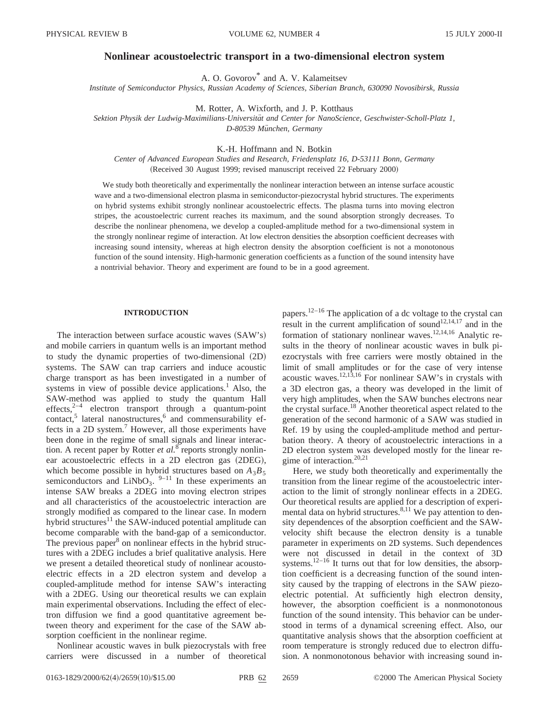# **Nonlinear acoustoelectric transport in a two-dimensional electron system**

A. O. Govorov\* and A. V. Kalameitsev

*Institute of Semiconductor Physics, Russian Academy of Sciences, Siberian Branch, 630090 Novosibirsk, Russia*

M. Rotter, A. Wixforth, and J. P. Kotthaus

*Sektion Physik der Ludwig-Maximilians-Universita¨t and Center for NanoScience, Geschwister-Scholl-Platz 1, D-80539 Mu¨nchen, Germany*

K.-H. Hoffmann and N. Botkin

*Center of Advanced European Studies and Research, Friedensplatz 16, D-53111 Bonn, Germany* (Received 30 August 1999; revised manuscript received 22 February 2000)

We study both theoretically and experimentally the nonlinear interaction between an intense surface acoustic wave and a two-dimensional electron plasma in semiconductor-piezocrystal hybrid structures. The experiments on hybrid systems exhibit strongly nonlinear acoustoelectric effects. The plasma turns into moving electron stripes, the acoustoelectric current reaches its maximum, and the sound absorption strongly decreases. To describe the nonlinear phenomena, we develop a coupled-amplitude method for a two-dimensional system in the strongly nonlinear regime of interaction. At low electron densities the absorption coefficient decreases with increasing sound intensity, whereas at high electron density the absorption coefficient is not a monotonous function of the sound intensity. High-harmonic generation coefficients as a function of the sound intensity have a nontrivial behavior. Theory and experiment are found to be in a good agreement.

#### **INTRODUCTION**

The interaction between surface acoustic waves  $(SAW's)$ and mobile carriers in quantum wells is an important method to study the dynamic properties of two-dimensional  $(2D)$ systems. The SAW can trap carriers and induce acoustic charge transport as has been investigated in a number of systems in view of possible device applications.<sup>1</sup> Also, the SAW-method was applied to study the quantum Hall effects, $2^{-4}$  electron transport through a quantum-point contact, $5$  lateral nanostructures, $6$  and commensurability effects in a 2D system.7 However, all those experiments have been done in the regime of small signals and linear interaction. A recent paper by Rotter *et al.*<sup>8</sup> reports strongly nonlinear acoustoelectric effects in a 2D electron gas (2DEG), which become possible in hybrid structures based on  $A_3B_5$ semiconductors and LiNbO<sub>3</sub>.  $9-11$  In these experiments an intense SAW breaks a 2DEG into moving electron stripes and all characteristics of the acoustoelectric interaction are strongly modified as compared to the linear case. In modern hybrid structures<sup>11</sup> the SAW-induced potential amplitude can become comparable with the band-gap of a semiconductor. The previous paper $8$  on nonlinear effects in the hybrid structures with a 2DEG includes a brief qualitative analysis. Here we present a detailed theoretical study of nonlinear acoustoelectric effects in a 2D electron system and develop a coupled-amplitude method for intense SAW's interacting with a 2DEG. Using our theoretical results we can explain main experimental observations. Including the effect of electron diffusion we find a good quantitative agreement between theory and experiment for the case of the SAW absorption coefficient in the nonlinear regime.

Nonlinear acoustic waves in bulk piezocrystals with free carriers were discussed in a number of theoretical papers.<sup>12–16</sup> The application of a dc voltage to the crystal can result in the current amplification of sound<sup>12,14,17</sup> and in the formation of stationary nonlinear waves.12,14,16 Analytic results in the theory of nonlinear acoustic waves in bulk piezocrystals with free carriers were mostly obtained in the limit of small amplitudes or for the case of very intense acoustic waves.<sup>12,13,16</sup> For nonlinear SAW's in crystals with a 3D electron gas, a theory was developed in the limit of very high amplitudes, when the SAW bunches electrons near the crystal surface.18 Another theoretical aspect related to the generation of the second harmonic of a SAW was studied in Ref. 19 by using the coupled-amplitude method and perturbation theory. A theory of acoustoelectric interactions in a 2D electron system was developed mostly for the linear regime of interaction. $20,21$ 

Here, we study both theoretically and experimentally the transition from the linear regime of the acoustoelectric interaction to the limit of strongly nonlinear effects in a 2DEG. Our theoretical results are applied for a description of experimental data on hybrid structures.<sup>8,11</sup> We pay attention to density dependences of the absorption coefficient and the SAWvelocity shift because the electron density is a tunable parameter in experiments on 2D systems. Such dependences were not discussed in detail in the context of 3D systems.<sup>12–16</sup> It turns out that for low densities, the absorption coefficient is a decreasing function of the sound intensity caused by the trapping of electrons in the SAW piezoelectric potential. At sufficiently high electron density, however, the absorption coefficient is a nonmonotonous function of the sound intensity. This behavior can be understood in terms of a dynamical screening effect. Also, our quantitative analysis shows that the absorption coefficient at room temperature is strongly reduced due to electron diffusion. A nonmonotonous behavior with increasing sound in-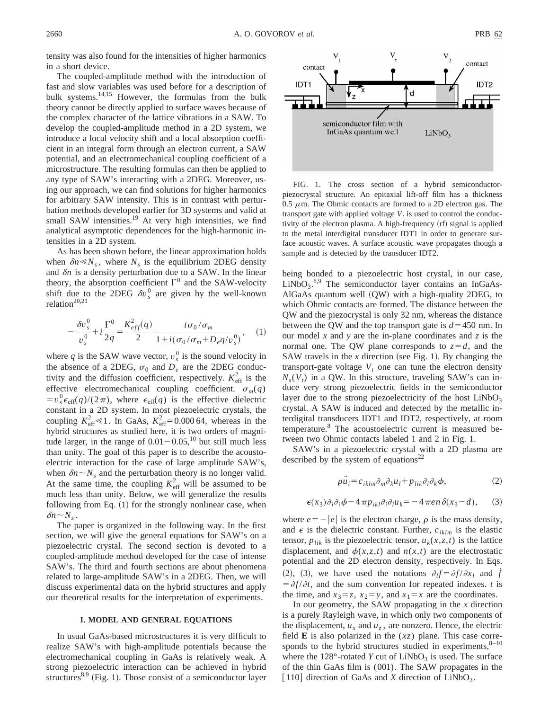tensity was also found for the intensities of higher harmonics in a short device.

The coupled-amplitude method with the introduction of fast and slow variables was used before for a description of bulk systems.14,15 However, the formulas from the bulk theory cannot be directly applied to surface waves because of the complex character of the lattice vibrations in a SAW. To develop the coupled-amplitude method in a 2D system, we introduce a local velocity shift and a local absorption coefficient in an integral form through an electron current, a SAW potential, and an electromechanical coupling coefficient of a microstructure. The resulting formulas can then be applied to any type of SAW's interacting with a 2DEG. Moreover, using our approach, we can find solutions for higher harmonics for arbitrary SAW intensity. This is in contrast with perturbation methods developed earlier for 3D systems and valid at small SAW intensities.<sup>19</sup> At very high intensities, we find analytical asymptotic dependences for the high-harmonic intensities in a 2D system.

As has been shown before, the linear approximation holds when  $\delta n \ll N_s$ , where  $N_s$  is the equilibrium 2DEG density and  $\delta n$  is a density perturbation due to a SAW. In the linear theory, the absorption coefficient  $\Gamma^0$  and the SAW-velocity shift due to the 2DEG  $\delta v_s^0$  are given by the well-known relation<sup>20,21</sup>

$$
-\frac{\delta v_s^0}{v_s^0} + i\frac{\Gamma^0}{2q} = \frac{K_{eff}^2(q)}{2} \frac{i\sigma_0/\sigma_m}{1 + i(\sigma_0/\sigma_m + D_e q/v_s^0)}, \quad (1)
$$

where  $q$  is the SAW wave vector,  $v_s^0$  is the sound velocity in the absence of a 2DEG,  $\sigma_0$  and  $D_e$  are the 2DEG conductivity and the diffusion coefficient, respectively.  $K_{\text{eff}}^2$  is the effective electromechanical coupling coefficient.  $\sigma_m(q)$  $=v_s^0 \epsilon_{\text{eff}}(q)/(2\pi)$ , where  $\epsilon_{\text{eff}}(q)$  is the effective dielectric constant in a 2D system. In most piezoelectric crystals, the coupling  $K_{\text{eff}}^2 \leq 1$ . In GaAs,  $K_{\text{eff}}^2 = 0.00064$ , whereas in the hybrid structures as studied here, it is two orders of magnitude larger, in the range of  $0.01 - 0.05$ ,<sup>10</sup> but still much less than unity. The goal of this paper is to describe the acoustoelectric interaction for the case of large amplitude SAW's, when  $\delta n \sim N_s$  and the perturbation theory is no longer valid. At the same time, the coupling  $K_{\text{eff}}^2$  will be assumed to be much less than unity. Below, we will generalize the results following from Eq.  $(1)$  for the strongly nonlinear case, when  $\delta n \sim N_s$ .

The paper is organized in the following way. In the first section, we will give the general equations for SAW's on a piezoelectric crystal. The second section is devoted to a coupled-amplitude method developed for the case of intense SAW's. The third and fourth sections are about phenomena related to large-amplitude SAW's in a 2DEG. Then, we will discuss experimental data on the hybrid structures and apply our theoretical results for the interpretation of experiments.

### **I. MODEL AND GENERAL EQUATIONS**

In usual GaAs-based microstructures it is very difficult to realize SAW's with high-amplitude potentials because the electromechanical coupling in GaAs is relatively weak. A strong piezoelectric interaction can be achieved in hybrid structures $8,9$  (Fig. 1). Those consist of a semiconductor layer



piezocrystal structure. An epitaxial lift-off film has a thickness 0.5  $\mu$ m. The Ohmic contacts are formed to a 2D electron gas. The transport gate with applied voltage  $V_t$  is used to control the conductivity of the electron plasma. A high-frequency (rf) signal is applied to the metal interdigital transducer IDT1 in order to generate surface acoustic waves. A surface acoustic wave propagates though a sample and is detected by the transducer IDT2.

being bonded to a piezoelectric host crystal, in our case,  $LiNbO<sub>3</sub>$ .<sup>8,9</sup> The semiconductor layer contains an InGaAs-AlGaAs quantum well  $(QW)$  with a high-quality 2DEG, to which Ohmic contacts are formed. The distance between the QW and the piezocrystal is only 32 nm, whereas the distance between the QW and the top transport gate is  $d=450$  nm. In our model *x* and *y* are the in-plane coordinates and *z* is the normal one. The QW plane corresponds to  $z = d$ , and the SAW travels in the  $x$  direction (see Fig. 1). By changing the transport-gate voltage  $V_t$  one can tune the electron density  $N_s(V_t)$  in a QW. In this structure, traveling SAW's can induce very strong piezoelectric fields in the semiconductor layer due to the strong piezoelectricity of the host  $LiNbO<sub>3</sub>$ crystal. A SAW is induced and detected by the metallic interdigital transducers IDT1 and IDT2, respectively, at room temperature.8 The acoustoelectric current is measured between two Ohmic contacts labeled 1 and 2 in Fig. 1.

SAW's in a piezoelectric crystal with a 2D plasma are described by the system of equations<sup>22</sup>

$$
\rho \ddot{u}_i = c_{iklm} \partial_m \partial_k u_l + p_{lik} \partial_l \partial_k \phi, \qquad (2)
$$

$$
\epsilon(x_3)\partial_i\partial_j\phi - 4\pi p_{ikl}\partial_i\partial_l u_k = -4\pi en \delta(x_3 - d), \quad (3)
$$

where  $e=-|e|$  is the electron charge,  $\rho$  is the mass density, and  $\epsilon$  is the dielectric constant. Further,  $c_{iklm}$  is the elastic tensor,  $p_{lik}$  is the piezoelectric tensor,  $u_k(x, z, t)$  is the lattice displacement, and  $\phi(x,z,t)$  and  $n(x,t)$  are the electrostatic potential and the 2D electron density, respectively. In Eqs. (2), (3), we have used the notations  $\partial_l f = \partial f / \partial x_l$  and *f*  $= \frac{\partial f}{\partial t}$ , and the sum convention for repeated indexes. *t* is the time, and  $x_3 = z$ ,  $x_2 = y$ , and  $x_1 = x$  are the coordinates.

In our geometry, the SAW propagating in the *x* direction is a purely Rayleigh wave, in which only two components of the displacement,  $u_x$  and  $u_z$ , are nonzero. Hence, the electric field **E** is also polarized in the (*xz*) plane. This case corresponds to the hybrid structures studied in experiments, $8-10$ where the  $128^\circ$ -rotated *Y* cut of LiNbO<sub>3</sub> is used. The surface of the thin GaAs film is (001). The SAW propagates in the [110] direction of GaAs and *X* direction of LiNbO<sub>3</sub>.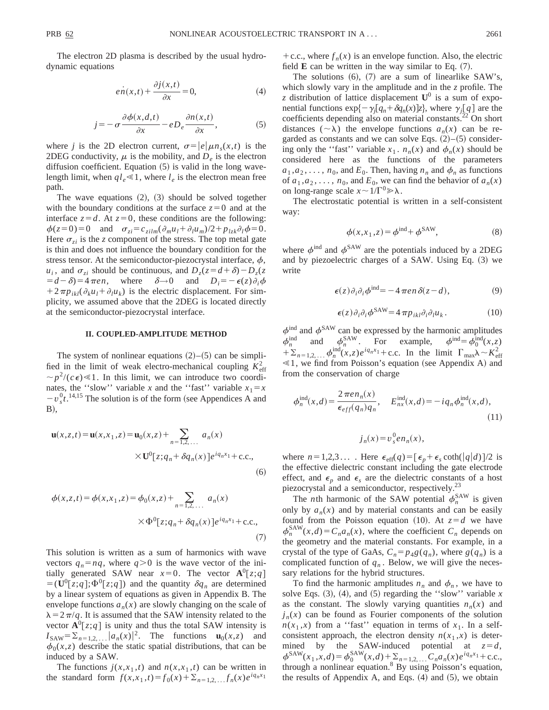The electron 2D plasma is described by the usual hydrodynamic equations

$$
e\dot{n}(x,t) + \frac{\partial j(x,t)}{\partial x} = 0,
$$
\t(4)

$$
j = -\sigma \frac{\partial \phi(x, d, t)}{\partial x} - e D_e \frac{\partial n(x, t)}{\partial x}, \tag{5}
$$

where *j* is the 2D electron current,  $\sigma = |e| \mu n_s(x,t)$  is the 2DEG conductivity,  $\mu$  is the mobility, and  $D_e$  is the electron diffusion coefficient. Equation  $(5)$  is valid in the long wavelength limit, when  $q_l \ll 1$ , where  $l_e$  is the electron mean free path.

The wave equations  $(2)$ ,  $(3)$  should be solved together with the boundary conditions at the surface  $z=0$  and at the interface  $z = d$ . At  $z = 0$ , these conditions are the following:  $\phi(z=0)=0$  and  $\sigma_{zi}=c_{zilm}(\partial_m u_l + \partial_l u_m)/2 + p_{izk}\partial_l \phi = 0.$ Here  $\sigma_{zi}$  is the *z* component of the stress. The top metal gate is thin and does not influence the boundary condition for the stress tensor. At the semiconductor-piezocrystal interface,  $\phi$ ,  $u_i$ , and  $\sigma_{zi}$  should be continuous, and  $D_z(z = d + \delta) - D_z(z)$  $= d - \delta = 4 \pi e n$ , where  $\delta \rightarrow 0$  and  $D_i = -\epsilon(z) \partial_i \phi$  $+2\pi p_{ikl}(\partial_k u_l + \partial_l u_k)$  is the electric displacement. For simplicity, we assumed above that the 2DEG is located directly at the semiconductor-piezocrystal interface.

#### **II. COUPLED-AMPLITUDE METHOD**

The system of nonlinear equations  $(2)$ – $(5)$  can be simplified in the limit of weak electro-mechanical coupling  $K_{\text{eff}}^2$  $\sim p^2/(c\epsilon) \ll 1$ . In this limit, we can introduce two coordinates, the "slow" variable *x* and the "fast" variable  $x_1 = x$  $-v_s^0t$ <sup>14,15</sup> The solution is of the form (see Appendices A and  $B)$ ,

$$
\mathbf{u}(x, z, t) = \mathbf{u}(x, x_1, z) = \mathbf{u}_0(x, z) + \sum_{n=1, 2, ...} a_n(x)
$$
  
 
$$
\times \mathbf{U}^0[z; q_n + \delta q_n(x)]e^{iq_n x_1} + \text{c.c.},
$$
 (6)

$$
\phi(x, z, t) = \phi(x, x_1, z) = \phi_0(x, z) + \sum_{n=1, 2, ...} a_n(x)
$$

$$
\times \Phi^0[z; q_n + \delta q_n(x)]e^{iq_n x_1} + \text{c.c.},
$$

$$
(7)
$$

This solution is written as a sum of harmonics with wave vectors  $q_n = nq$ , where  $q > 0$  is the wave vector of the initially generated SAW near  $x=0$ . The vector  $\mathbf{A}^0[z; q]$  $=$   $(\mathbf{U}^0[\overline{z};q]; \Phi^0[\overline{z};q])$  and the quantity  $\delta q_n$  are determined by a linear system of equations as given in Appendix B. The envelope functions  $a_n(x)$  are slowly changing on the scale of  $\lambda = 2\pi/q$ . It is assumed that the SAW intensity related to the vector  $\mathbf{A}^0[z; q]$  is unity and thus the total SAW intensity is  $I_{\text{SAW}} = \sum_{n=1,2,\dots} |a_n(x)|^2$ . The functions  $\mathbf{u}_0(x,z)$  and  $\phi_0(x, z)$  describe the static spatial distributions, that can be induced by a SAW.

The functions  $j(x, x_1, t)$  and  $n(x, x_1, t)$  can be written in the standard form  $f(x, x_1, t) = f_0(x) + \sum_{n=1,2,\dots} f_n(x) e^{i q_n x_1}$ 

+ c.c., where  $f_n(x)$  is an envelope function. Also, the electric field  $\bf{E}$  can be written in the way similar to Eq.  $(7)$ .

The solutions  $(6)$ ,  $(7)$  are a sum of linearlike SAW's, which slowly vary in the amplitude and in the *z* profile. The *z* distribution of lattice displacement  $U^0$  is a sum of exponential functions  $exp{-\gamma_i[q_n+\delta q_n(x)]z}$ , where  $\gamma_i[q]$  are the coefficients depending also on material constants.<sup>22</sup> On short distances  $({\sim}\lambda)$  the envelope functions  $a_n(x)$  can be regarded as constants and we can solve Eqs.  $(2)$ – $(5)$  considering only the "fast" variable  $x_1$ .  $n_n(x)$  and  $\phi_n(x)$  should be considered here as the functions of the parameters  $a_1, a_2, \ldots, n_0$ , and  $E_0$ . Then, having  $n_n$  and  $\phi_n$  as functions of  $a_1, a_2, \ldots, a_0$ , and  $E_0$ , we can find the behavior of  $a_n(x)$ on long-range scale  $x \sim 1/\Gamma^0 \gg \lambda$ .

The electrostatic potential is written in a self-consistent way:

$$
\phi(x, x_1, z) = \phi^{\text{ind}} + \phi^{\text{SAW}},\tag{8}
$$

where  $\phi^{\text{ind}}$  and  $\phi^{\text{SAW}}$  are the potentials induced by a 2DEG and by piezoelectric charges of a SAW. Using Eq.  $(3)$  we write

$$
\epsilon(z)\partial_i\partial_i\phi^{\text{ind}} = -4\pi en\,\delta(z-d),\tag{9}
$$

$$
\epsilon(z)\partial_i\partial_i\phi^{\text{SAW}} = 4\pi p_{ikl}\partial_i\partial_l u_k. \tag{10}
$$

 $\phi^{\text{ind}}$  and  $\phi^{\text{SAW}}$  can be expressed by the harmonic amplitudes  $\phi_n^{\text{ind}}$  and  $\phi_n^{\text{SAW}}$ . For example,  $\phi_{n}^{\text{ind}} = \phi_0^{\text{ind}}(x, z)$  $+\sum_{n=1,2,\dots}$   $\phi_n^{\text{ind}}(x,z)e^{iq_n x_1} + \text{c.c.}$  In the limit  $\Gamma_{\text{max}}\lambda \sim K_{\text{eff}}^2$  $\leq 1$ , we find from Poisson's equation (see Appendix A) and from the conservation of charge

$$
\phi_n^{\text{ind}}(x,d) = \frac{2\pi e n_n(x)}{\epsilon_{eff}(q_n)q_n}, \quad E_{nx}^{\text{ind}}(x,d) = -iq_n \phi_n^{\text{ind}}(x,d),\tag{11}
$$

$$
j_n(x) = v_s^0 e n_n(x),
$$

where  $n=1,2,3...$  . Here  $\epsilon_{\text{eff}}(q)=[\epsilon_p+\epsilon_s \coth(\vert q\vert d)\vert/2$  is the effective dielectric constant including the gate electrode effect, and  $\epsilon_p$  and  $\epsilon_s$  are the dielectric constants of a host piezocrystal and a semiconductor, respectively.<sup>23</sup>

The *n*th harmonic of the SAW potential  $\phi_n^{\text{SAW}}$  is given only by  $a_n(x)$  and by material constants and can be easily found from the Poisson equation (10). At  $z = d$  we have  $\phi_n^{\text{SAW}}(x,d) = C_n a_n(x)$ , where the coefficient  $C_n$  depends on the geometry and the material constants. For example, in a crystal of the type of GaAs,  $C_n = p_{4}g(q_n)$ , where  $g(q_n)$  is a complicated function of  $q_n$ . Below, we will give the necessary relations for the hybrid structures.

To find the harmonic amplitudes  $n_n$  and  $\phi_n$ , we have to solve Eqs.  $(3)$ ,  $(4)$ , and  $(5)$  regarding the "slow" variable *x* as the constant. The slowly varying quantities  $n_n(x)$  and  $j_n(x)$  can be found as Fourier components of the solution  $n(x_1, x)$  from a "fast" equation in terms of  $x_1$ . In a selfconsistent approach, the electron density  $n(x_1, x)$  is determined by the SAW-induced potential at  $z=d$ ,  $\phi^{\text{SAW}}(x_1, x, d) = \phi_0^{\text{SAW}}(x, d) + \sum_{n=1,2,...} C_n a_n(x) e^{iq_n x_1} + \text{c.c.},$ through a nonlinear equation. $8$  By using Poisson's equation, the results of Appendix A, and Eqs.  $(4)$  and  $(5)$ , we obtain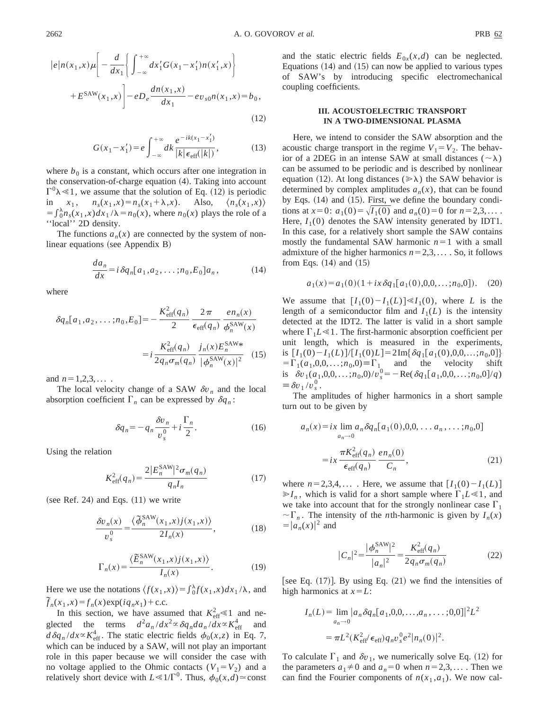$$
|e|n(x_1,x)\mu\left[-\frac{d}{dx_1}\left\{\int_{-\infty}^{+\infty} dx_1'G(x_1-x_1')n(x_1',x)\right\}\right] + E^{SAW}(x_1,x)\left[-eD_e\frac{dn(x_1,x)}{dx_1} - ev_{s0}n(x_1,x) = b_0,\right]
$$
\n(12)

$$
G(x_1 - x_1') = e \int_{-\infty}^{+\infty} dk \frac{e^{-ik(x_1 - x_1')}}{|k| \epsilon_{\text{eff}}(|k|)},
$$
(13)

where  $b_0$  is a constant, which occurs after one integration in the conservation-of-charge equation  $(4)$ . Taking into account  $\Gamma^0$  $\lambda \ll 1$ , we assume that the solution of Eq. (12) is periodic in  $x_1$ ,  $n_s(x_1, x) = n_s(x_1 + \lambda, x)$ . Also,  $\langle n_s(x_1, x) \rangle$  $= \int_0^{\lambda} n_s(x_1, x) dx_1 / \lambda = n_0(x)$ , where  $n_0(x)$  plays the role of a ''local'' 2D density.

The functions  $a_n(x)$  are connected by the system of nonlinear equations (see Appendix  $B$ )

$$
\frac{da_n}{dx} = i \,\delta q_n[a_1, a_2, \dots; n_0, E_0]a_n, \qquad (14)
$$

where

$$
\delta q_n[a_1, a_2, \dots; n_0, E_0] = -\frac{K_{\text{eff}}^2(q_n)}{2} \frac{2\pi}{\epsilon_{\text{eff}}(q_n)} \frac{e n_n(x)}{\phi_n^{\text{SAW}}(x)}
$$

$$
= i \frac{K_{\text{eff}}^2(q_n)}{2q_n \sigma_m(q_n)} \frac{j_n(x) E_n^{\text{SAW}*}}{|\phi_n^{\text{SAW}}(x)|^2} \quad (15)
$$

and  $n=1,2,3,...$ ...

The local velocity change of a SAW  $\delta v_n$  and the local absorption coefficient  $\Gamma_n$  can be expressed by  $\delta q_n$ :

$$
\delta q_n = -q_n \frac{\delta v_n}{v_s^0} + i \frac{\Gamma_n}{2}.
$$
 (16)

Using the relation

$$
K_{\text{eff}}^{2}(q_{n}) = \frac{2|E_{n}^{\text{SAW}}|^{2}\sigma_{m}(q_{n})}{q_{n}I_{n}}
$$
 (17)

(see Ref. 24) and Eqs.  $(11)$  we write

$$
\frac{\delta v_n(x)}{v_s^0} = \frac{\langle \tilde{\phi}_n^{\text{SAW}}(x_1, x) j(x_1, x) \rangle}{2I_n(x)},
$$
\n(18)

$$
\Gamma_n(x) = \frac{\langle \widetilde{E}_n^{\text{SAW}}(x_1, x) j(x_1, x) \rangle}{I_n(x)}.
$$
\n(19)

Here we use the notations  $\langle f(x_1, x) \rangle = \int_0^{\lambda} f(x_1, x) dx_1 / \lambda$ , and  $\widetilde{f}_n(x_1, x) = f_n(x) \exp(i q_n x_1) + \text{c.c.}$ 

In this section, we have assumed that  $K_{\text{eff}}^2 \le 1$  and neglected the terms  $d^2a_n/dx^2 \propto \delta q_n da_n/dx \propto K_{\text{eff}}^4$  and  $d\delta q_n/dx \propto K_{\text{eff}}^4$ . The static electric fields  $\phi_0(x,z)$  in Eq. 7, which can be induced by a SAW, will not play an important role in this paper because we will consider the case with no voltage applied to the Ohmic contacts  $(V_1 = V_2)$  and a relatively short device with  $L \ll 1/\Gamma^0$ . Thus,  $\phi_0(x,d) \approx \text{const}$  and the static electric fields  $E_{0x}(x,d)$  can be neglected. Equations  $(14)$  and  $(15)$  can now be applied to various types of SAW's by introducing specific electromechanical coupling coefficients.

# **III. ACOUSTOELECTRIC TRANSPORT IN A TWO-DIMENSIONAL PLASMA**

Here, we intend to consider the SAW absorption and the acoustic charge transport in the regime  $V_1 = V_2$ . The behavior of a 2DEG in an intense SAW at small distances ( $\sim \lambda$ ) can be assumed to be periodic and is described by nonlinear equation (12). At long distances ( $\gg \lambda$ ) the SAW behavior is determined by complex amplitudes  $a_n(x)$ , that can be found by Eqs.  $(14)$  and  $(15)$ . First, we define the boundary conditions at  $x=0$ :  $a_1(0) = \sqrt{I_1(0)}$  and  $a_n(0)=0$  for  $n=2,3,...$ Here,  $I_1(0)$  denotes the SAW intensity generated by IDT1. In this case, for a relatively short sample the SAW contains mostly the fundamental SAW harmonic  $n=1$  with a small admixture of the higher harmonics  $n=2,3,...$  . So, it follows from Eqs.  $(14)$  and  $(15)$ 

$$
a_1(x) = a_1(0)(1 + ix\delta q_1[a_1(0), 0, 0, \dots; n_0, 0]). \tag{20}
$$

We assume that  $[I_1(0)-I_1(L)] \ll I_1(0)$ , where *L* is the length of a semiconductor film and  $I_1(L)$  is the intensity detected at the IDT2. The latter is valid in a short sample where  $\Gamma_1 L \ll 1$ . The first-harmonic absorption coefficient per unit length, which is measured in the experiments, is  $[I_1(0)-I_1(L)]/[I_1(0)L] = 2\text{Im}\{\delta q_1[a_1(0),0,0,\ldots;n_0,0]\}$  $=\Gamma_1(a_1,0,0,\ldots;n_0,0)$  $=\Gamma_1$  and the velocity shift is  $\delta v_1(a_1, 0, 0, \ldots; n_0, 0)/v_s^0 = -\text{Re}(\delta q_1[a_1, 0, 0, \ldots; n_0, 0]/q)$  $\equiv \delta v_1 / v_s^0$ .

The amplitudes of higher harmonics in a short sample turn out to be given by

$$
a_n(x) = ix \lim_{a_n \to 0} a_n \delta q_n [a_1(0), 0, 0, \dots, a_n, \dots; n_0, 0]
$$

$$
= ix \frac{\pi K_{\text{eff}}^2(q_n)}{\epsilon_{\text{eff}}(q_n)} \frac{en_n(0)}{C_n},
$$
(21)

where  $n=2,3,4,...$  . Here, we assume that  $[I_1(0)-I_1(L)]$  $\ge I_n$ , which is valid for a short sample where  $\Gamma_1 L \le 1$ , and we take into account that for the strongly nonlinear case  $\Gamma_1$  $\sim \Gamma_n$ . The intensity of the *n*th-harmonic is given by  $I_n(x)$  $= |a_n(x)|^2$  and

$$
|C_n|^2 = \frac{|\phi_n^{\text{SAW}}|^2}{|a_n|^2} = \frac{K_{\text{eff}}^2(q_n)}{2q_n\sigma_m(q_n)}
$$
(22)

[see Eq.  $(17)$ ]. By using Eq.  $(21)$  we find the intensities of high harmonics at  $x=L$ :

$$
I_n(L) = \lim_{a_n \to 0} |a_n \delta q_n[a_1, 0, 0, \dots, a_n, \dots; 0, 0]|^2 L^2
$$
  
=  $\pi L^2 (K_{\text{eff}}^2 / \epsilon_{\text{eff}}) q_n v_s^0 e^2 |n_n(0)|^2$ .

To calculate  $\Gamma_1$  and  $\delta v_1$ , we numerically solve Eq. (12) for the parameters  $a_1 \neq 0$  and  $a_n = 0$  when  $n = 2,3,...$  . Then we can find the Fourier components of  $n(x_1, a_1)$ . We now cal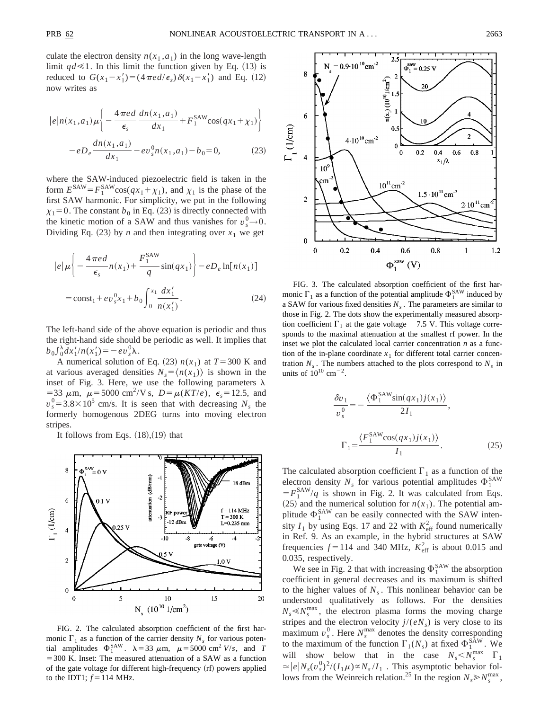culate the electron density  $n(x_1, a_1)$  in the long wave-length limit  $qd \leq 1$ . In this limit the function given by Eq. (13) is reduced to  $G(x_1 - x_1') = (4 \pi e d/\epsilon_s) \delta(x_1 - x_1')$  and Eq. (12) now writes as

$$
|e|n(x_1, a_1)\mu\left(-\frac{4\pi e d}{\epsilon_s}\frac{dn(x_1, a_1)}{dx_1} + F_1^{\text{SAW}}\cos(qx_1 + \chi_1)\right) - e_1^{\text{A}}\frac{dn(x_1, a_1)}{dx_1} - ev_s^0 n(x_1, a_1) - b_0 = 0,
$$
 (23)

where the SAW-induced piezoelectric field is taken in the form  $E^{\text{SAW}} = F_1^{\text{SAW}} \cos(qx_1 + \chi_1)$ , and  $\chi_1$  is the phase of the first SAW harmonic. For simplicity, we put in the following  $\chi_1=0$ . The constant  $b_0$  in Eq. (23) is directly connected with the kinetic motion of a SAW and thus vanishes for  $v_s^0 \rightarrow 0$ . Dividing Eq.  $(23)$  by *n* and then integrating over  $x_1$  we get

$$
|e|\mu\left\{-\frac{4\pi ed}{\epsilon_s}n(x_1)+\frac{F_1^{\text{SAW}}}{q}\sin(qx_1)\right\}-eD_e\ln[n(x_1)]
$$
  
= const<sub>1</sub> +  $ev_s^0x_1$  +  $b_0\int_0^{x_1}\frac{dx'_1}{n(x'_1)}$ . (24)

The left-hand side of the above equation is periodic and thus the right-hand side should be periodic as well. It implies that  $b_0 \int_0^{\lambda} dx'_1/n(x'_1) = -ev_s^0 \lambda.$ 

A numerical solution of Eq. (23)  $n(x_1)$  at  $T=300$  K and at various averaged densities  $N_s = \langle n(x_1) \rangle$  is shown in the inset of Fig. 3. Here, we use the following parameters  $\lambda$ =33  $\mu$ m,  $\mu$ =5000 cm<sup>2</sup>/V s,  $D = \mu(KT/e)$ ,  $\epsilon_s = 12.5$ , and  $v_s^0 = 3.8 \times 10^5$  cm/s. It is seen that with decreasing  $N_s$  the formerly homogenous 2DEG turns into moving electron stripes.

It follows from Eqs.  $(18)$ , $(19)$  that



FIG. 2. The calculated absorption coefficient of the first harmonic  $\Gamma_1$  as a function of the carrier density  $N_s$  for various potential amplitudes  $\Phi_1^{\text{SAW}}$ .  $\lambda = 33 \mu \text{m}$ ,  $\mu = 5000 \text{ cm}^2$  *V/s*, and *T*  $=$  300 K. Inset: The measured attenuation of a SAW as a function of the gate voltage for different high-frequency (rf) powers applied to the IDT1;  $f = 114$  MHz.



FIG. 3. The calculated absorption coefficient of the first harmonic  $\Gamma_1$  as a function of the potential amplitude  $\Phi_1^{\text{SAW}}$  induced by a SAW for various fixed densities  $N<sub>s</sub>$ . The parameters are similar to those in Fig. 2. The dots show the experimentally measured absorption coefficient  $\Gamma_1$  at the gate voltage  $-7.5$  V. This voltage corresponds to the maximal attenuation at the smallest rf power. In the inset we plot the calculated local carrier concentration *n* as a function of the in-plane coordinate  $x_1$  for different total carrier concentration  $N_s$ . The numbers attached to the plots correspond to  $N_s$  in units of  $10^{10}$  cm<sup>-2</sup>.

$$
\frac{\delta v_1}{v_s^0} = -\frac{\langle \Phi_1^{\text{SAW}} \sin(qx_1) j(x_1) \rangle}{2I_1},
$$

$$
\Gamma_1 = \frac{\langle F_1^{\text{SAW}} \cos(qx_1) j(x_1) \rangle}{I_1}.
$$
(25)

The calculated absorption coefficient  $\Gamma_1$  as a function of the electron density  $N_s$  for various potential amplitudes  $\Phi_1^{\text{SAW}}$  $=F_1^{\text{SAW}}/q$  is shown in Fig. 2. It was calculated from Eqs.  $(25)$  and the numerical solution for  $n(x_1)$ . The potential amplitude  $\Phi_1^{\text{SAW}}$  can be easily connected with the SAW intensity  $I_1$  by using Eqs. 17 and 22 with  $K_{\text{eff}}^2$  found numerically in Ref. 9. As an example, in the hybrid structures at SAW frequencies  $f = 114$  and 340 MHz,  $K_{\text{eff}}^2$  is about 0.015 and 0.035, respectively.

We see in Fig. 2 that with increasing  $\Phi_1^{\text{SAW}}$  the absorption coefficient in general decreases and its maximum is shifted to the higher values of  $N<sub>s</sub>$ . This nonlinear behavior can be understood qualitatively as follows. For the densities  $N_s \ll N_s^{\text{max}}$ , the electron plasma forms the moving charge stripes and the electron velocity  $j/(eN_s)$  is very close to its maximum  $v_s^0$ . Here  $N_s^{\text{max}}$  denotes the density corresponding to the maximum of the function  $\Gamma_1(N_s)$  at fixed  $\Phi_1^{\text{SAW}}$ . We will show below that in the case  $N_s < N_s^{\text{max}}$   $\Gamma_1$  $\approx |e| N_s(v_s^0)^2 / (I_1 \mu) \propto N_s / I_1$ . This asymptotic behavior follows from the Weinreich relation.<sup>25</sup> In the region  $N_s \gg N_s^{\text{max}}$ ,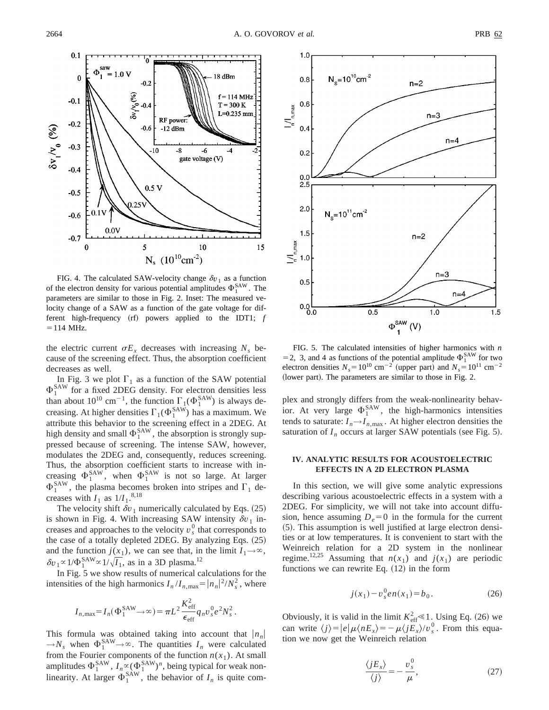

FIG. 4. The calculated SAW-velocity change  $\delta v_1$  as a function of the electron density for various potential amplitudes  $\Phi_1^{\text{SAW}}$ . The parameters are similar to those in Fig. 2. Inset: The measured velocity change of a SAW as a function of the gate voltage for different high-frequency  $(rf)$  powers applied to the IDT1;  $f$  $=$  114 MHz.

the electric current  $\sigma E_x$  decreases with increasing  $N_s$  because of the screening effect. Thus, the absorption coefficient decreases as well.

In Fig. 3 we plot  $\Gamma_1$  as a function of the SAW potential  $\Phi_1^{\text{SAW}}$  for a fixed 2DEG density. For electron densities less than about  $10^{10}$  cm<sup>-1</sup>, the function  $\Gamma_1(\Phi_1^{\text{SAW}})$  is always decreasing. At higher densities  $\Gamma_1(\Phi_1^{\text{SAW}})$  has a maximum. We attribute this behavior to the screening effect in a 2DEG. At high density and small  $\Phi_1^{\text{SAW}}$ , the absorption is strongly suppressed because of screening. The intense SAW, however, modulates the 2DEG and, consequently, reduces screening. Thus, the absorption coefficient starts to increase with increasing  $\Phi_1^{\text{SAW}}$ , when  $\Phi_1^{\text{SAW}}$  is not so large. At larger  $\Phi_1^{\text{SAW}}$ , the plasma becomes broken into stripes and  $\Gamma_1$  decreases with  $I_1$  as  $1/I_1$ .<sup>8,18</sup>

The velocity shift  $\delta v_1$  numerically calculated by Eqs. (25) is shown in Fig. 4. With increasing SAW intensity  $\delta v_1$  increases and approaches to the velocity  $v_s^0$  that corresponds to the case of a totally depleted 2DEG. By analyzing Eqs.  $(25)$ and the function  $j(x_1)$ , we can see that, in the limit  $I_1 \rightarrow \infty$ ,  $\delta v_1 \propto 1/\Phi_1^{\text{SAW}} \propto 1/\sqrt{I_1}$ , as in a 3D plasma.<sup>12</sup>

In Fig. 5 we show results of numerical calculations for the intensities of the high harmonics  $I_n/I_{n,\text{max}} = |n_n|^2/N_s^2$ , where

$$
I_{n,\max} = I_n(\Phi_1^{\text{SAW}} \to \infty) = \pi L^2 \frac{K_{\text{eff}}^2}{\epsilon_{\text{eff}}} q_n v_s^0 e^2 N_s^2.
$$

This formula was obtained taking into account that  $|n_n|$  $\rightarrow$ *N<sub>s</sub>* when  $\Phi_1^{\text{SAW}} \rightarrow \infty$ . The quantities *I<sub>n</sub>* were calculated from the Fourier components of the function  $n(x_1)$ . At small amplitudes  $\Phi_1^{\text{SAW}}$ ,  $I_n \propto (\Phi_1^{\text{SAW}})^n$ , being typical for weak nonlinearity. At larger  $\Phi_1^{\text{SAW}}$ , the behavior of  $I_n$  is quite com-



FIG. 5. The calculated intensities of higher harmonics with *n* = 2, 3, and 4 as functions of the potential amplitude  $\Phi_1^{\text{SAW}}$  for two electron densities  $N_s = 10^{10} \text{ cm}^{-2}$  (upper part) and  $N_s = 10^{11} \text{ cm}^{-2}$ (lower part). The parameters are similar to those in Fig. 2.

plex and strongly differs from the weak-nonlinearity behavior. At very large  $\Phi_1^{\text{SAW}}$ , the high-harmonics intensities tends to saturate:  $I_n \rightarrow I_{n,\text{max}}$ . At higher electron densities the saturation of  $I_n$  occurs at larger SAW potentials (see Fig. 5).

# **IV. ANALYTIC RESULTS FOR ACOUSTOELECTRIC EFFECTS IN A 2D ELECTRON PLASMA**

In this section, we will give some analytic expressions describing various acoustoelectric effects in a system with a 2DEG. For simplicity, we will not take into account diffusion, hence assuming  $D_e=0$  in the formula for the current  $(5)$ . This assumption is well justified at large electron densities or at low temperatures. It is convenient to start with the Weinreich relation for a 2D system in the nonlinear regime.<sup>12,25</sup> Assuming that  $n(x_1)$  and  $j(x_1)$  are periodic functions we can rewrite Eq.  $(12)$  in the form

$$
j(x_1) - v_s^0 e n(x_1) = b_0.
$$
 (26)

Obviously, it is valid in the limit  $K_{\text{eff}}^2 \le 1$ . Using Eq. (26) we can write  $\langle j \rangle = |e| \mu \langle nE_x \rangle = -\mu \langle jE_x \rangle / v_s^0$ . From this equation we now get the Weinreich relation

$$
\frac{\langle jE_x \rangle}{\langle j \rangle} = -\frac{v_s^0}{\mu},\tag{27}
$$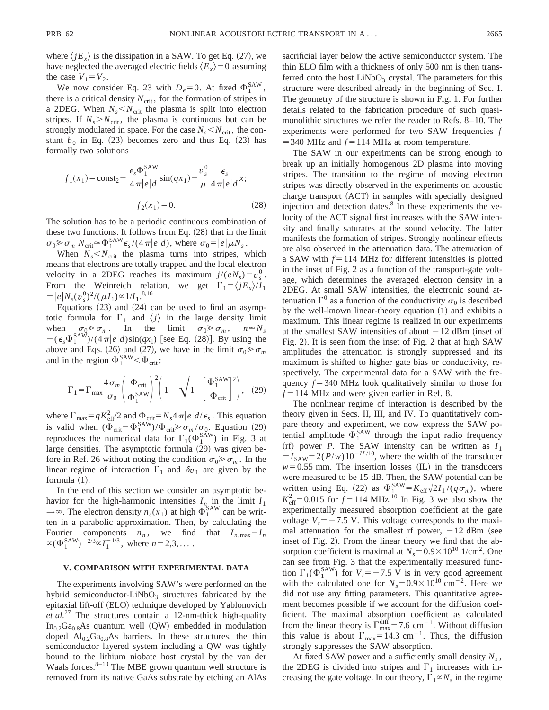where  $\langle$  *jE<sub>x</sub>* $\rangle$  is the dissipation in a SAW. To get Eq. (27), we have neglected the averaged electric fields  $\langle E_x \rangle = 0$  assuming the case  $V_1 = V_2$ .

We now consider Eq. 23 with  $D_e = 0$ . At fixed  $\Phi_1^{\text{SAW}}$ , there is a critical density  $N_{\text{crit}}$ , for the formation of stripes in a 2DEG. When  $N_s < N_{\text{crit}}$  the plasma is split into electron stripes. If  $N_s > N_{\text{crit}}$ , the plasma is continuous but can be strongly modulated in space. For the case  $N_s < N_{\text{crit}}$ , the constant  $b_0$  in Eq. (23) becomes zero and thus Eq. (23) has formally two solutions

$$
f_1(x_1) = \text{const}_2 - \frac{\epsilon_s \Phi_1^{\text{SAW}}}{4\pi|e|d} \sin(qx_1) - \frac{v_s^0}{\mu} \frac{\epsilon_s}{4\pi|e|d}x;
$$
  

$$
f_2(x_1) = 0.
$$
 (28)

The solution has to be a periodic continuous combination of these two functions. It follows from Eq.  $(28)$  that in the limit  $\sigma_0 \gg \sigma_m N_{\text{crit}} \simeq \Phi_1^{\text{SAW}} \epsilon_s / (4 \pi |e| d)$ , where  $\sigma_0 = |e| \mu N_s$ .

When  $N_s < N_{\text{crit}}$  the plasma turns into stripes, which means that electrons are totally trapped and the local electron velocity in a 2DEG reaches its maximum  $j/(eN_s) = v_s^0$ . From the Weinreich relation, we get  $\Gamma_1 = \langle jE_x \rangle / I_1$  $= |e| N_s (v_s^0)^2 / (\mu I_1) \propto 1/I_1^{8,16}$ 

Equations  $(23)$  and  $(24)$  can be used to find an asymptotic formula for  $\Gamma_1$  and  $\langle j \rangle$  in the large density limit when  $\sigma_0 \gg \sigma_m$ . In the limit  $\sigma_0 \gg \sigma_m$ ,  $n \approx N_s$  $-(\epsilon_s \Phi_1^{\text{SAW}})/(4\pi|e|d)\sin(qx_1)$  [see Eq. (28)]. By using the above and Eqs. (26) and (27), we have in the limit  $\sigma_0 \ge \sigma_m$ and in the region  $\Phi_1^{\text{SAW}} < \Phi_{\text{crit}}$ :

$$
\Gamma_1 = \Gamma_{\text{max}} \frac{4 \sigma_m}{\sigma_0} \left( \frac{\Phi_{\text{crit}}}{\Phi_1^{\text{SAW}}} \right)^2 \left( 1 - \sqrt{1 - \left[ \frac{\Phi_1^{\text{SAW}}}{\Phi_{\text{crit}}} \right]^2} \right), \quad (29)
$$

where  $\Gamma_{\text{max}} = qK_{\text{eff}}^2/2$  and  $\Phi_{\text{crit}} = N_s 4 \pi |e| d/\epsilon_s$ . This equation is valid when  $(\Phi_{\text{crit}} - \Phi_1^{\text{SAW}})/\Phi_{\text{crit}} \gg \sigma_m / \sigma_0$ . Equation (29) reproduces the numerical data for  $\Gamma_1(\Phi_1^{\text{SAW}})$  in Fig. 3 at large densities. The asymptotic formula (29) was given before in Ref. 26 without noting the condition  $\sigma_0 \gg \sigma_m$ . In the linear regime of interaction  $\Gamma_1$  and  $\delta v_1$  are given by the formula  $(1)$ .

In the end of this section we consider an asymptotic behavior for the high-harmonic intensities  $I_n$  in the limit  $I_1$  $\rightarrow \infty$ . The electron density  $n_s(x_1)$  at high  $\Phi_1^{\text{SAW}}$  can be written in a parabolic approximation. Then, by calculating the Fourier components  $n_n$ , we find that  $I_{n,\text{max}}-I_n$  $\alpha (\Phi_1^{\text{SAW}})^{-2/3} \alpha I_1^{-1/3}$ , where  $n=2,3,...$ .

## **V. COMPARISON WITH EXPERIMENTAL DATA**

The experiments involving SAW's were performed on the hybrid semiconductor-LiNbO<sub>3</sub> structures fabricated by the epitaxial lift-off (ELO) technique developed by Yablonovich *et al.*<sup>27</sup> The structures contain a 12-nm-thick high-quality  $In<sub>0.2</sub>Ga<sub>0.8</sub>As quantum well (QW) embedded in modulation$ doped  $Al<sub>0.2</sub>Ga<sub>0.8</sub>As barriers. In these structures, the thin$ semiconductor layered system including a QW was tightly bound to the lithium niobate host crystal by the van der Waals forces. $8-10$  The MBE grown quantum well structure is removed from its native GaAs substrate by etching an AlAs sacrificial layer below the active semiconductor system. The thin ELO film with a thickness of only 500 nm is then transferred onto the host  $LiNbO<sub>3</sub>$  crystal. The parameters for this structure were described already in the beginning of Sec. I. The geometry of the structure is shown in Fig. 1. For further details related to the fabrication procedure of such quasimonolithic structures we refer the reader to Refs. 8–10. The experiments were performed for two SAW frequencies *f*  $=$  340 MHz and  $f = 114$  MHz at room temperature.

The SAW in our experiments can be strong enough to break up an initially homogenous 2D plasma into moving stripes. The transition to the regime of moving electron stripes was directly observed in the experiments on acoustic charge transport (ACT) in samples with specially designed injection and detection dates. $8$  In these experiments the velocity of the ACT signal first increases with the SAW intensity and finally saturates at the sound velocity. The latter manifests the formation of stripes. Strongly nonlinear effects are also observed in the attenuation data. The attenuation of a SAW with  $f = 114$  MHz for different intensities is plotted in the inset of Fig. 2 as a function of the transport-gate voltage, which determines the averaged electron density in a 2DEG. At small SAW intensities, the electronic sound attenuation  $\Gamma^0$  as a function of the conductivity  $\sigma_0$  is described by the well-known linear-theory equation (1) and exhibits a maximum. This linear regime is realized in our experiments at the smallest SAW intensities of about  $-12$  dBm (inset of Fig. 2). It is seen from the inset of Fig. 2 that at high SAW amplitudes the attenuation is strongly suppressed and its maximum is shifted to higher gate bias or conductivity, respectively. The experimental data for a SAW with the frequency  $f = 340$  MHz look qualitatively similar to those for  $f = 114$  MHz and were given earlier in Ref. 8.

The nonlinear regime of interaction is described by the theory given in Secs. II, III, and IV. To quantitatively compare theory and experiment, we now express the SAW potential amplitude  $\Phi_1^{\text{SAW}}$  through the input radio frequency  $(rf)$  power *P*. The SAW intensity can be written as  $I_1$  $= I_{\text{SAW}} = 2(P/w)10^{-I L/10}$ , where the width of the transducer  $w=0.55$  mm. The insertion losses (IL) in the transducers were measured to be 15 dB. Then, the SAW potential can be written using Eq. (22) as  $\Phi_1^{\text{SAW}} = K_{\text{eff}} \sqrt{2I_1/(q \sigma_m)}$ , where  $K_{\text{eff}}^2$  = 0.015 for *f* = 114 MHz.<sup>10</sup> In Fig. 3 we also show the experimentally measured absorption coefficient at the gate voltage  $V_t = -7.5$  V. This voltage corresponds to the maximal attenuation for the smallest rf power,  $-12$  dBm (see inset of Fig. 2). From the linear theory we find that the absorption coefficient is maximal at  $N_s = 0.9 \times 10^{10}$  1/cm<sup>2</sup>. One can see from Fig. 3 that the experimentally measured function  $\Gamma_1(\Phi_1^{\text{SAW}})$  for  $V_t = -7.5$  V is in very good agreement with the calculated one for  $N_s = 0.9 \times 10^{10}$  cm<sup>-2</sup>. Here we did not use any fitting parameters. This quantitative agreement becomes possible if we account for the diffusion coefficient. The maximal absorption coefficient as calculated from the linear theory is  $\Gamma_{\text{max}}^{\text{diff}} = 7.6 \text{ cm}^{-1}$ . Without diffusion this value is about  $\Gamma_{\text{max}}=14.3 \text{ cm}^{-1}$ . Thus, the diffusion strongly suppresses the SAW absorption.

At fixed SAW power and a sufficiently small density  $N_s$ , the 2DEG is divided into stripes and  $\Gamma_1$  increases with increasing the gate voltage. In our theory,  $\Gamma_1 \propto N_s$  in the regime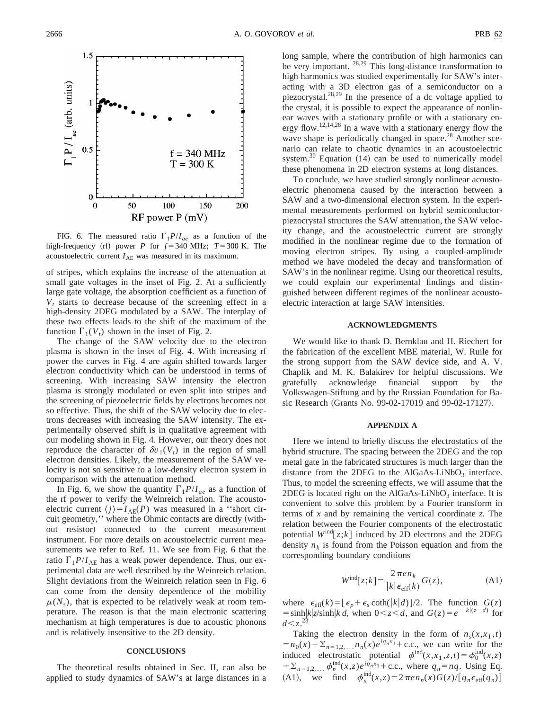

FIG. 6. The measured ratio  $\Gamma_1 P/I_{ae}$  as a function of the high-frequency (rf) power *P* for  $f = 340$  MHz;  $T = 300$  K. The acoustoelectric current  $I_{AE}$  was measured in its maximum.

of stripes, which explains the increase of the attenuation at small gate voltages in the inset of Fig. 2. At a sufficiently large gate voltage, the absorption coefficient as a function of  $V_t$  starts to decrease because of the screening effect in a high-density 2DEG modulated by a SAW. The interplay of these two effects leads to the shift of the maximum of the function  $\Gamma_1(V_t)$  shown in the inset of Fig. 2.

The change of the SAW velocity due to the electron plasma is shown in the inset of Fig. 4. With increasing rf power the curves in Fig. 4 are again shifted towards larger electron conductivity which can be understood in terms of screening. With increasing SAW intensity the electron plasma is strongly modulated or even split into stripes and the screening of piezoelectric fields by electrons becomes not so effective. Thus, the shift of the SAW velocity due to electrons decreases with increasing the SAW intensity. The experimentally observed shift is in qualitative agreement with our modeling shown in Fig. 4. However, our theory does not reproduce the character of  $\delta v_1(V_t)$  in the region of small electron densities. Likely, the measurement of the SAW velocity is not so sensitive to a low-density electron system in comparison with the attenuation method.

In Fig. 6, we show the quantity  $\Gamma_1 P/I_{ae}$  as a function of the rf power to verify the Weinreich relation. The acoustoelectric current  $\langle j \rangle = I_{AE}(P)$  was measured in a "short circuit geometry," where the Ohmic contacts are directly (without resistor) connected to the current measurement instrument. For more details on acoustoelectric current measurements we refer to Ref. 11. We see from Fig. 6 that the ratio  $\Gamma_1 P/I_{\text{AE}}$  has a weak power dependence. Thus, our experimental data are well described by the Weinreich relation. Slight deviations from the Weinreich relation seen in Fig. 6 can come from the density dependence of the mobility  $\mu(N_s)$ , that is expected to be relatively weak at room temperature. The reason is that the main electronic scattering mechanism at high temperatures is due to acoustic phonons and is relatively insensitive to the 2D density.

### **CONCLUSIONS**

The theoretical results obtained in Sec. II, can also be applied to study dynamics of SAW's at large distances in a

long sample, where the contribution of high harmonics can be very important. <sup>28,29</sup> This long-distance transformation to high harmonics was studied experimentally for SAW's interacting with a 3D electron gas of a semiconductor on a piezocrystal.28,29 In the presence of a dc voltage applied to the crystal, it is possible to expect the appearance of nonlinear waves with a stationary profile or with a stationary energy flow.12,14,28 In a wave with a stationary energy flow the wave shape is periodically changed in space.<sup>28</sup> Another scenario can relate to chaotic dynamics in an acoustoelectric system.<sup>30</sup> Equation  $(14)$  can be used to numerically model these phenomena in 2D electron systems at long distances.

To conclude, we have studied strongly nonlinear acoustoelectric phenomena caused by the interaction between a SAW and a two-dimensional electron system. In the experimental measurements performed on hybrid semiconductorpiezocrystal structures the SAW attenuation, the SAW velocity change, and the acoustoelectric current are strongly modified in the nonlinear regime due to the formation of moving electron stripes. By using a coupled-amplitude method we have modeled the decay and transformation of SAW's in the nonlinear regime. Using our theoretical results, we could explain our experimental findings and distinguished between different regimes of the nonlinear acoustoelectric interaction at large SAW intensities.

# **ACKNOWLEDGMENTS**

We would like to thank D. Bernklau and H. Riechert for the fabrication of the excellent MBE material, W. Ruile for the strong support from the SAW device side, and A. V. Chaplik and M. K. Balakirev for helpful discussions. We gratefully acknowledge financial support by the Volkswagen-Stiftung and by the Russian Foundation for Basic Research (Grants No. 99-02-17019 and 99-02-17127).

#### **APPENDIX A**

Here we intend to briefly discuss the electrostatics of the hybrid structure. The spacing between the 2DEG and the top metal gate in the fabricated structures is much larger than the distance from the 2DEG to the AlGaAs-LiNbO<sub>3</sub> interface. Thus, to model the screening effects, we will assume that the 2DEG is located right on the  $AIGaAs-LiNbO<sub>3</sub>$  interface. It is convenient to solve this problem by a Fourier transform in terms of *x* and by remaining the vertical coordinate *z*. The relation between the Fourier components of the electrostatic potential  $W^{\text{ind}}[z; k]$  induced by 2D electrons and the 2DEG density  $n_k$  is found from the Poisson equation and from the corresponding boundary conditions

$$
W^{\text{ind}}[z;k] = \frac{2\pi en_k}{|k| \epsilon_{\text{eff}}(k)} G(z), \tag{A1}
$$

where  $\epsilon_{\text{eff}}(k) = [\epsilon_p + \epsilon_s \coth(|k|d)]/2$ . The function  $G(z)$  $=$ sinh $\frac{1}{2}$ k|z/sinh $\frac{1}{k}$ |d, when  $0 < z < d$ , and  $G(z) = e^{-\frac{1}{k}(z-d)}$  for  $d < z^{23}$ 

Taking the electron density in the form of  $n_s(x, x_1, t)$  $=n_0(x) + \sum_{n=1,2,...} n_n(x)e^{iq_n x_1} + \text{c.c., we can write for the}$ induced electrostatic potential  $\phi^{\text{ind}}(x, x_1, z, t) = \phi_0^{\text{ind}}(x, z)$  $+ \sum_{n=1,2,...}$   $\phi_n^{\text{ind}}(x, z) e^{iq_n x_1} + \text{c.c.,}$  where  $q_n = nq$ . Using Eq. (A1), we find  $\phi_n^{\text{ind}}(x,z) = 2\pi e n_n(x) G(z) / [q_n \epsilon_{\text{eff}}(q_n)]$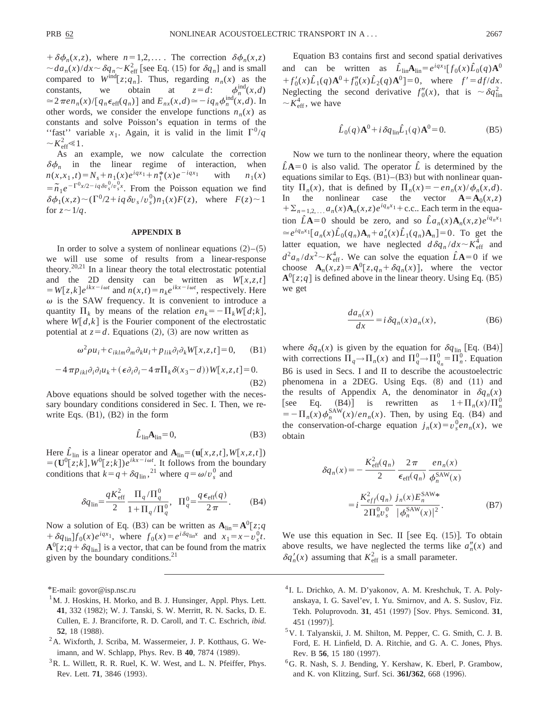$+\delta\phi_n(x,z)$ , where  $n=1,2,...$  The correction  $\delta\phi_n(x,z)$  $\sim da_n(x)/dx \sim \delta q_n \sim K_{\text{eff}}^2$  [see Eq. (15) for  $\delta q_n$ ] and is small compared to  $W^{\text{ind}}[z;q_n]$ . Thus, regarding  $n_n(x)$  as the constants, we obtain at  $z = d$ :  $\phi_n^{\text{th}}$  $\phi_n^{\text{ind}}(x,d)$  $\approx 2\pi e n_n(x) / [q_n \epsilon_{\text{eff}}(q_n)]$  and  $E_{nx}(x,d) \approx -iq_n \phi_n^{\text{ind}}(x,d)$ . In other words, we consider the envelope functions  $n_n(x)$  as constants and solve Poisson's equation in terms of the "fast" variable  $x_1$ . Again, it is valid in the limit  $\Gamma^0/q$  $\sim K_{\text{eff}}^2 \ll 1$ .

As an example, we now calculate the correction  $\delta \phi_n$  in the linear regime of interaction, when  $n(x, x_1, t) = N_s + n_1(x)e^{iqx_1} + n_1^*(x)e^{-iqx_1}$  with  $n_1(x)$  $= \tilde{n}_1 e^{-\Gamma^0 x/2 - i q \delta v_s^0 / v_s^0 x}$ . From the Poisson equation we find  $\delta\phi_1(x,z) \sim (\Gamma^0/2 + i q \delta v_s / v_s^0) n_1(x) F(z)$ , where  $F(z) \sim 1$ for  $z \sim 1/q$ .

## **APPENDIX B**

In order to solve a system of nonlinear equations  $(2)$ – $(5)$ we will use some of results from a linear-response theory.20,21 In a linear theory the total electrostatic potential and the 2D density can be written as  $W[x, z, t]$  $W[z, k]e^{ikx - i\omega t}$  and  $n(x,t) = n_k e^{ikx - i\omega t}$ , respectively. Here  $\omega$  is the SAW frequency. It is convenient to introduce a quantity  $\Pi_k$  by means of the relation  $en_k = -\Pi_k W[d;k],$ where  $W[d,k]$  is the Fourier component of the electrostatic potential at  $z = d$ . Equations (2), (3) are now written as

$$
\omega^2 \rho u_i + c_{iklm} \partial_m \partial_k u_l + p_{lik} \partial_l \partial_k W[x, z, t] = 0, \quad \text{(B1)}
$$

$$
-4\pi p_{ikl}\partial_i\partial_l u_k + (\epsilon \partial_i\partial_i - 4\pi \Pi_k \delta(x_3 - d))W[x, z, t] = 0.
$$
\n(B2)

Above equations should be solved together with the necessary boundary conditions considered in Sec. I. Then, we rewrite Eqs.  $(B1)$ ,  $(B2)$  in the form

$$
\hat{L}_{\text{lin}} \mathbf{A}_{\text{lin}} = 0,\tag{B3}
$$

Here  $\hat{L}_{lin}$  is a linear operator and  $\mathbf{A}_{lin} = (\mathbf{u}[x, z, t], W[x, z, t])$  $=$   $(\mathbf{U}^0[z; k], W^0[z; k])e^{ikx - i\omega t}$ . It follows from the boundary conditions that  $k=q+\delta q_{\text{lin}}^2$ , <sup>21</sup> where  $q=\omega/v_s^0$  and

$$
\delta q_{\rm lin} = \frac{q K_{\rm eff}^2}{2} \frac{\Pi_q / \Pi_q^0}{1 + \Pi_q / \Pi_q^0}, \quad \Pi_q^0 = \frac{q \epsilon_{\rm eff}(q)}{2 \pi}.
$$
 (B4)

Now a solution of Eq. (B3) can be written as  $A_{lin} = A^0[z; q]$  $f_0(x) = e^{i\delta q \ln x}$  and  $x_1 = x - v_s^0 t$ .  $A^{0}[z; q + \delta q_{\text{lin}}]$  is a vector, that can be found from the matrix given by the boundary conditions. $21$ 

\*E-mail: govor@isp.nsc.ru

- <sup>1</sup>M. J. Hoskins, H. Morko, and B. J. Hunsinger, Appl. Phys. Lett. 41, 332 (1982); W. J. Tanski, S. W. Merritt, R. N. Sacks, D. E. Cullen, E. J. Branciforte, R. D. Caroll, and T. C. Eschrich, *ibid.* **52**, 18 (1988).
- $2A$ . Wixforth, J. Scriba, M. Wassermeier, J. P. Kotthaus, G. Weimann, and W. Schlapp, Phys. Rev. B 40, 7874 (1989).
- <sup>3</sup>R. L. Willett, R. R. Ruel, K. W. West, and L. N. Pfeiffer, Phys. Rev. Lett. **71**, 3846 (1993).

Equation B3 contains first and second spatial derivatives and can be written as  $\hat{L}_{\text{lin}}A_{\text{lin}}=e^{iqx_1}[f_0(x)\hat{L}_0(q)A^0]$  $+f'_0(x)\hat{L}_1(q)A^0+f''_0(x)\hat{L}_2(q)A^0=0$ , where  $f'=df/dx$ . Neglecting the second derivative  $f''_0(x)$ , that is  $\sim \delta q_{\text{lin}}^2$  $\sim K_{\text{eff}}^4$ , we have

$$
\hat{L}_0(q)\mathbf{A}^0 + i\,\delta q_{\text{lin}}\hat{L}_1(q)\mathbf{A}^0 = 0.
$$
 (B5)

Now we turn to the nonlinear theory, where the equation  $\hat{L}A=0$  is also valid. The operator  $\hat{L}$  is determined by the equations similar to Eqs.  $(B1)$ – $(B3)$  but with nonlinear quantity  $\Pi_n(x)$ , that is defined by  $\Pi_n(x) = -e n_n(x)/\phi_n(x,d)$ . In the nonlinear case the vector  $A = A_0(x, z)$  $+ \sum_{n=1,2,\dots} a_n(x) \mathbf{A}_n(x, z) e^{iq_n x_1} + \text{c.c.}.$  Each term in the equation  $\hat{L}$ **A**=0 should be zero, and so  $\hat{L}a_n(x)$ **A**<sub>n</sub>(*x*,*z*)*e*<sup>*i*q<sub>n</sub>x<sub>1</sub></sub></sup>  $\approx e^{iq_n x_1} [a_n(x) \hat{L}_0(q_n) A_n + a'_n(x) \hat{L}_1(q_n) A_n] = 0$ . To get the latter equation, we have neglected  $d\delta q_n / dx \sim K_{\text{eff}}^4$  and  $d^2a_n/dx^2 \sim K_{\text{eff}}^4$ . We can solve the equation  $\hat{L}A=0$  if we choose  $\mathbf{A}_n(x, z) = \mathbf{A}^0[z, q_n + \delta q_n(x)],$  where the vector  $A^{0}[z;q]$  is defined above in the linear theory. Using Eq. (B5) we get

$$
\frac{da_n(x)}{dx} = i \,\delta q_n(x) a_n(x),\tag{B6}
$$

where  $\delta q_n(x)$  is given by the equation for  $\delta q_{lin}$  [Eq. (B4)] with corrections  $\Pi_q \to \Pi_n(x)$  and  $\Pi_q^0 \to \Pi_{q_n}^0 = \Pi_n^0$ . Equation B6 is used in Secs. I and II to describe the acoustoelectric phenomena in a 2DEG. Using Eqs.  $(8)$  and  $(11)$  and the results of Appendix A, the denominator in  $\delta q_n(x)$ [see Eq. (B4)] is rewritten as  $1 + \Pi_n(x)/\Pi_n^0$  $=-\prod_{n}(x)\phi_n^{\text{SAW}}(x)/en_n(x)$ . Then, by using Eq. (B4) and the conservation-of-charge equation  $j_n(x) = v_s^0 e n_n(x)$ , we obtain

$$
\delta q_n(x) = -\frac{K_{\text{eff}}^2(q_n)}{2} \frac{2\pi}{\epsilon_{\text{eff}}(q_n)} \frac{e n_n(x)}{\phi_n^{\text{SAW}}(x)}
$$

$$
= i \frac{K_{\text{eff}}^2(q_n)}{2\Pi_n^0 v_s^0} \frac{j_n(x) E_n^{\text{SAW}}}{|\phi_n^{\text{SAW}}(x)|^2}.
$$
(B7)

We use this equation in Sec. II [see Eq.  $(15)$ ]. To obtain above results, we have neglected the terms like  $a''_n(x)$  and  $\delta q'_n(x)$  assuming that  $K_{\text{eff}}^2$  is a small parameter.

- <sup>4</sup> I. L. Drichko, A. M. D'yakonov, A. M. Kreshchuk, T. A. Polyanskaya, I. G. Savel'ev, I. Yu. Smirnov, and A. S. Suslov, Fiz. Tekh. Poluprovodn. **31**, 451 (1997) [Sov. Phys. Semicond. **31**, 451 (1997)].
- 5V. I. Talyanskii, J. M. Shilton, M. Pepper, C. G. Smith, C. J. B. Ford, E. H. Linfield, D. A. Ritchie, and G. A. C. Jones, Phys. Rev. B 56, 15 180 (1997).
- <sup>6</sup>G. R. Nash, S. J. Bending, Y. Kershaw, K. Eberl, P. Grambow, and K. von Klitzing, Surf. Sci. 361/362, 668 (1996).